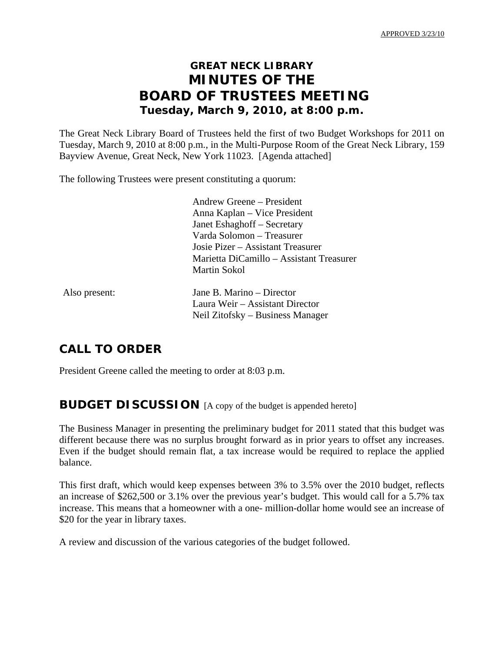# **GREAT NECK LIBRARY MINUTES OF THE BOARD OF TRUSTEES MEETING Tuesday, March 9, 2010, at 8:00 p.m.**

The Great Neck Library Board of Trustees held the first of two Budget Workshops for 2011 on Tuesday, March 9, 2010 at 8:00 p.m., in the Multi-Purpose Room of the Great Neck Library, 159 Bayview Avenue, Great Neck, New York 11023. [Agenda attached]

The following Trustees were present constituting a quorum:

 Andrew Greene – President Anna Kaplan – Vice President Janet Eshaghoff – Secretary Varda Solomon – Treasurer Josie Pizer – Assistant Treasurer Marietta DiCamillo – Assistant Treasurer Martin Sokol

| Also present: |
|---------------|
|---------------|

Jane B. Marino – Director Laura Weir – Assistant Director Neil Zitofsky – Business Manager

## **CALL TO ORDER**

President Greene called the meeting to order at 8:03 p.m.

### **BUDGET DISCUSSION** [A copy of the budget is appended hereto]

The Business Manager in presenting the preliminary budget for 2011 stated that this budget was different because there was no surplus brought forward as in prior years to offset any increases. Even if the budget should remain flat, a tax increase would be required to replace the applied balance.

This first draft, which would keep expenses between 3% to 3.5% over the 2010 budget, reflects an increase of \$262,500 or 3.1% over the previous year's budget. This would call for a 5.7% tax increase. This means that a homeowner with a one- million-dollar home would see an increase of \$20 for the year in library taxes.

A review and discussion of the various categories of the budget followed.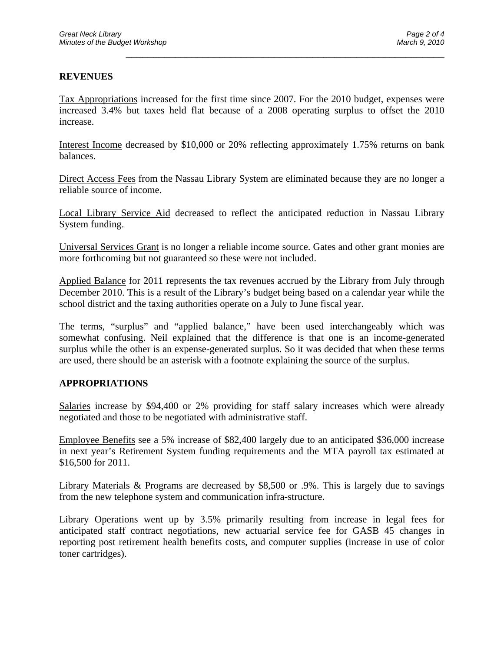#### **REVENUES**

Tax Appropriations increased for the first time since 2007. For the 2010 budget, expenses were increased 3.4% but taxes held flat because of a 2008 operating surplus to offset the 2010 increase.

\_\_\_\_\_\_\_\_\_\_\_\_\_\_\_\_\_\_\_\_\_\_\_\_\_\_\_\_\_\_\_\_\_\_\_\_\_\_\_\_\_\_\_\_\_\_\_\_\_\_\_\_\_\_\_\_\_\_

Interest Income decreased by \$10,000 or 20% reflecting approximately 1.75% returns on bank balances.

Direct Access Fees from the Nassau Library System are eliminated because they are no longer a reliable source of income.

Local Library Service Aid decreased to reflect the anticipated reduction in Nassau Library System funding.

Universal Services Grant is no longer a reliable income source. Gates and other grant monies are more forthcoming but not guaranteed so these were not included.

Applied Balance for 2011 represents the tax revenues accrued by the Library from July through December 2010. This is a result of the Library's budget being based on a calendar year while the school district and the taxing authorities operate on a July to June fiscal year.

The terms, "surplus" and "applied balance," have been used interchangeably which was somewhat confusing. Neil explained that the difference is that one is an income-generated surplus while the other is an expense-generated surplus. So it was decided that when these terms are used, there should be an asterisk with a footnote explaining the source of the surplus.

#### **APPROPRIATIONS**

Salaries increase by \$94,400 or 2% providing for staff salary increases which were already negotiated and those to be negotiated with administrative staff.

Employee Benefits see a 5% increase of \$82,400 largely due to an anticipated \$36,000 increase in next year's Retirement System funding requirements and the MTA payroll tax estimated at \$16,500 for 2011.

Library Materials & Programs are decreased by \$8,500 or .9%. This is largely due to savings from the new telephone system and communication infra-structure.

Library Operations went up by 3.5% primarily resulting from increase in legal fees for anticipated staff contract negotiations, new actuarial service fee for GASB 45 changes in reporting post retirement health benefits costs, and computer supplies (increase in use of color toner cartridges).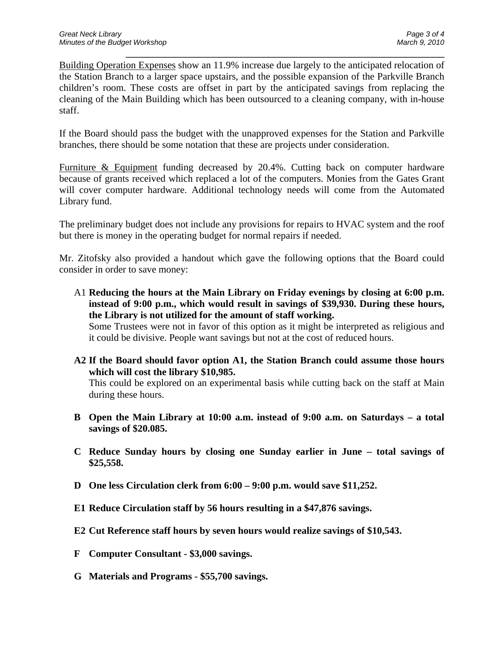Building Operation Expenses show an 11.9% increase due largely to the anticipated relocation of the Station Branch to a larger space upstairs, and the possible expansion of the Parkville Branch children's room. These costs are offset in part by the anticipated savings from replacing the cleaning of the Main Building which has been outsourced to a cleaning company, with in-house staff.

\_\_\_\_\_\_\_\_\_\_\_\_\_\_\_\_\_\_\_\_\_\_\_\_\_\_\_\_\_\_\_\_\_\_\_\_\_\_\_\_\_\_\_\_\_\_\_\_\_\_\_\_\_\_\_\_\_\_

If the Board should pass the budget with the unapproved expenses for the Station and Parkville branches, there should be some notation that these are projects under consideration.

Furniture & Equipment funding decreased by 20.4%. Cutting back on computer hardware because of grants received which replaced a lot of the computers. Monies from the Gates Grant will cover computer hardware. Additional technology needs will come from the Automated Library fund.

The preliminary budget does not include any provisions for repairs to HVAC system and the roof but there is money in the operating budget for normal repairs if needed.

Mr. Zitofsky also provided a handout which gave the following options that the Board could consider in order to save money:

A1 **Reducing the hours at the Main Library on Friday evenings by closing at 6:00 p.m. instead of 9:00 p.m., which would result in savings of \$39,930. During these hours, the Library is not utilized for the amount of staff working.** 

 Some Trustees were not in favor of this option as it might be interpreted as religious and it could be divisive. People want savings but not at the cost of reduced hours.

**A2 If the Board should favor option A1, the Station Branch could assume those hours which will cost the library \$10,985.** 

 This could be explored on an experimental basis while cutting back on the staff at Main during these hours.

- **B Open the Main Library at 10:00 a.m. instead of 9:00 a.m. on Saturdays a total savings of \$20.085.**
- **C Reduce Sunday hours by closing one Sunday earlier in June total savings of \$25,558.**
- **D One less Circulation clerk from 6:00 9:00 p.m. would save \$11,252.**
- **E1 Reduce Circulation staff by 56 hours resulting in a \$47,876 savings.**
- **E2 Cut Reference staff hours by seven hours would realize savings of \$10,543.**
- **F Computer Consultant \$3,000 savings.**
- **G Materials and Programs \$55,700 savings.**